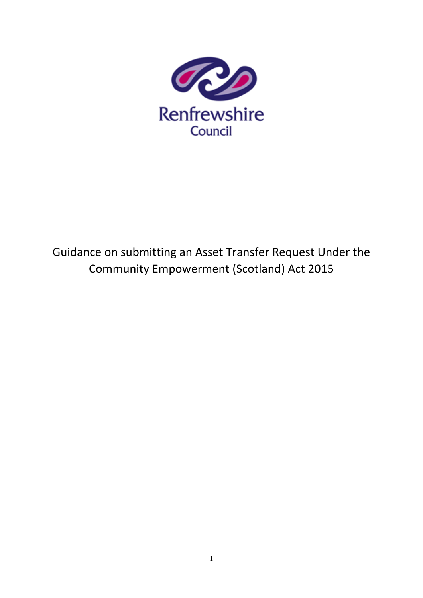

# Guidance on submitting an Asset Transfer Request Under the Community Empowerment (Scotland) Act 2015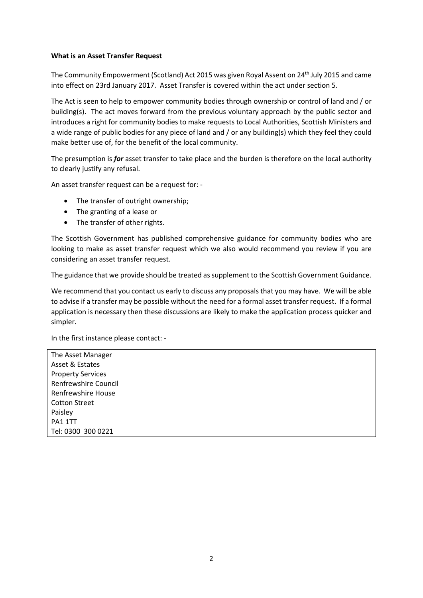### **What is an Asset Transfer Request**

The Community Empowerment (Scotland) Act 2015 was given Royal Assent on 24th July 2015 and came into effect on 23rd January 2017. Asset Transfer is covered within the act under section 5.

The Act is seen to help to empower community bodies through ownership or control of land and / or building(s). The act moves forward from the previous voluntary approach by the public sector and introduces a right for community bodies to make requests to Local Authorities, Scottish Ministers and a wide range of public bodies for any piece of land and / or any building(s) which they feel they could make better use of, for the benefit of the local community.

The presumption is *for* asset transfer to take place and the burden is therefore on the local authority to clearly justify any refusal.

An asset transfer request can be a request for: -

- The transfer of outright ownership;
- The granting of a lease or
- The transfer of other rights.

The Scottish Government has published comprehensive guidance for community bodies who are looking to make as asset transfer request which we also would recommend you review if you are considering an asset transfer request.

The guidance that we provide should be treated as supplement to the Scottish Government Guidance.

We recommend that you contact us early to discuss any proposals that you may have. We will be able to advise if a transfer may be possible without the need for a formal asset transfer request. If a formal application is necessary then these discussions are likely to make the application process quicker and simpler.

In the first instance please contact: -

The Asset Manager Asset & Estates Property Services Renfrewshire Council Renfrewshire House Cotton Street Paisley PA1 1TT Tel: 0300 300 0221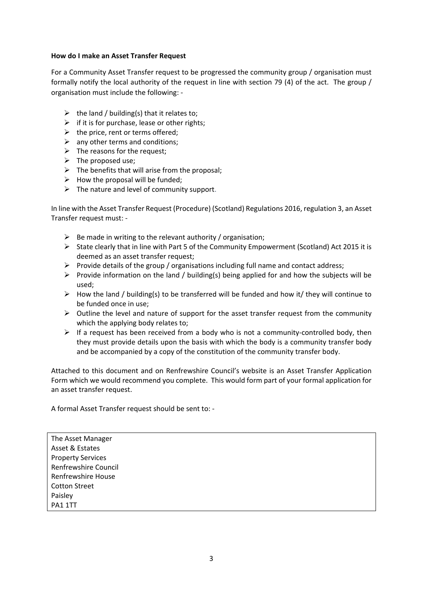#### **How do I make an Asset Transfer Request**

For a Community Asset Transfer request to be progressed the community group / organisation must formally notify the local authority of the request in line with section 79 (4) of the act. The group / organisation must include the following: -

- $\triangleright$  the land / building(s) that it relates to;
- $\triangleright$  if it is for purchase, lease or other rights;
- $\triangleright$  the price, rent or terms offered;
- $\triangleright$  any other terms and conditions;
- $\triangleright$  The reasons for the request;
- $\triangleright$  The proposed use;
- $\triangleright$  The benefits that will arise from the proposal;
- $\triangleright$  How the proposal will be funded;
- $\triangleright$  The nature and level of community support.

In line with the Asset Transfer Request (Procedure) (Scotland) Regulations 2016, regulation 3, an Asset Transfer request must: -

- $\triangleright$  Be made in writing to the relevant authority / organisation;
- $\triangleright$  State clearly that in line with Part 5 of the Community Empowerment (Scotland) Act 2015 it is deemed as an asset transfer request;
- $\triangleright$  Provide details of the group / organisations including full name and contact address;
- Provide information on the land / building(s) being applied for and how the subjects will be used;
- $\triangleright$  How the land / building(s) to be transferred will be funded and how it/ they will continue to be funded once in use;
- $\triangleright$  Outline the level and nature of support for the asset transfer request from the community which the applying body relates to:
- $\triangleright$  If a request has been received from a body who is not a community-controlled body, then they must provide details upon the basis with which the body is a community transfer body and be accompanied by a copy of the constitution of the community transfer body.

Attached to this document and on Renfrewshire Council's website is an Asset Transfer Application Form which we would recommend you complete. This would form part of your formal application for an asset transfer request.

A formal Asset Transfer request should be sent to: -

The Asset Manager Asset & Estates Property Services Renfrewshire Council Renfrewshire House Cotton Street Paisley PA1 1TT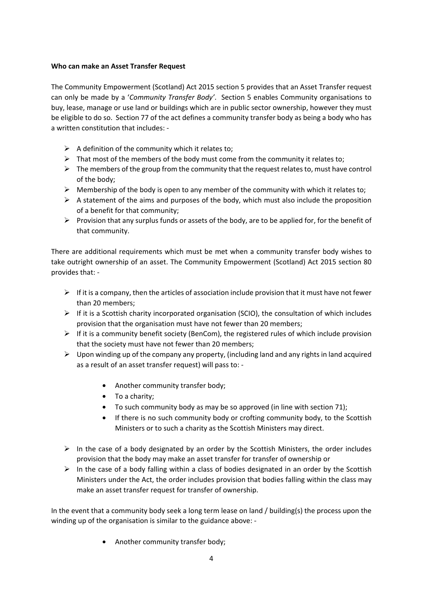### **Who can make an Asset Transfer Request**

The Community Empowerment (Scotland) Act 2015 section 5 provides that an Asset Transfer request can only be made by a '*Community Transfer Body'*. Section 5 enables Community organisations to buy, lease, manage or use land or buildings which are in public sector ownership, however they must be eligible to do so. Section 77 of the act defines a community transfer body as being a body who has a written constitution that includes: -

- $\triangleright$  A definition of the community which it relates to;
- $\triangleright$  That most of the members of the body must come from the community it relates to;
- $\triangleright$  The members of the group from the community that the request relates to, must have control of the body;
- $\triangleright$  Membership of the body is open to any member of the community with which it relates to;
- $\triangleright$  A statement of the aims and purposes of the body, which must also include the proposition of a benefit for that community;
- $\triangleright$  Provision that any surplus funds or assets of the body, are to be applied for, for the benefit of that community.

There are additional requirements which must be met when a community transfer body wishes to take outright ownership of an asset. The Community Empowerment (Scotland) Act 2015 section 80 provides that: -

- $\triangleright$  If it is a company, then the articles of association include provision that it must have not fewer than 20 members;
- $\triangleright$  If it is a Scottish charity incorporated organisation (SCIO), the consultation of which includes provision that the organisation must have not fewer than 20 members;
- $\triangleright$  If it is a community benefit society (BenCom), the registered rules of which include provision that the society must have not fewer than 20 members;
- $\triangleright$  Upon winding up of the company any property, (including land and any rights in land acquired as a result of an asset transfer request) will pass to: -
	- Another community transfer body;
	- To a charity;
	- To such community body as may be so approved (in line with section 71);
	- If there is no such community body or crofting community body, to the Scottish Ministers or to such a charity as the Scottish Ministers may direct.
- $\triangleright$  In the case of a body designated by an order by the Scottish Ministers, the order includes provision that the body may make an asset transfer for transfer of ownership or
- $\triangleright$  In the case of a body falling within a class of bodies designated in an order by the Scottish Ministers under the Act, the order includes provision that bodies falling within the class may make an asset transfer request for transfer of ownership.

In the event that a community body seek a long term lease on land / building(s) the process upon the winding up of the organisation is similar to the guidance above: -

• Another community transfer body;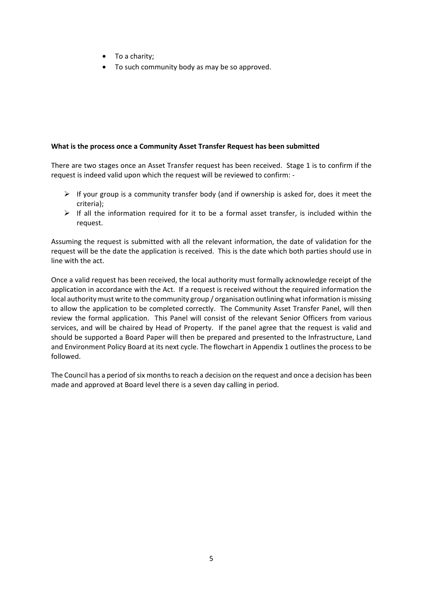- To a charity;
- To such community body as may be so approved.

### **What is the process once a Community Asset Transfer Request has been submitted**

There are two stages once an Asset Transfer request has been received. Stage 1 is to confirm if the request is indeed valid upon which the request will be reviewed to confirm: -

- $\triangleright$  If your group is a community transfer body (and if ownership is asked for, does it meet the criteria);
- $\triangleright$  If all the information required for it to be a formal asset transfer, is included within the request.

Assuming the request is submitted with all the relevant information, the date of validation for the request will be the date the application is received. This is the date which both parties should use in line with the act.

Once a valid request has been received, the local authority must formally acknowledge receipt of the application in accordance with the Act. If a request is received without the required information the local authority must write to the community group / organisation outlining what information is missing to allow the application to be completed correctly. The Community Asset Transfer Panel, will then review the formal application. This Panel will consist of the relevant Senior Officers from various services, and will be chaired by Head of Property. If the panel agree that the request is valid and should be supported a Board Paper will then be prepared and presented to the Infrastructure, Land and Environment Policy Board at its next cycle. The flowchart in Appendix 1 outlines the process to be followed.

The Council has a period of six months to reach a decision on the request and once a decision has been made and approved at Board level there is a seven day calling in period.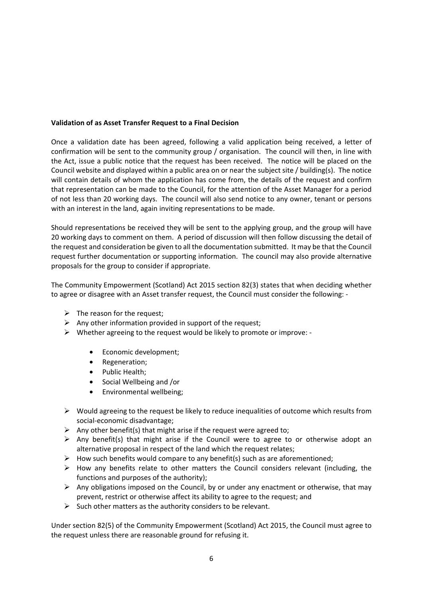## **Validation of as Asset Transfer Request to a Final Decision**

Once a validation date has been agreed, following a valid application being received, a letter of confirmation will be sent to the community group / organisation. The council will then, in line with the Act, issue a public notice that the request has been received. The notice will be placed on the Council website and displayed within a public area on or near the subject site / building(s). The notice will contain details of whom the application has come from, the details of the request and confirm that representation can be made to the Council, for the attention of the Asset Manager for a period of not less than 20 working days. The council will also send notice to any owner, tenant or persons with an interest in the land, again inviting representations to be made.

Should representations be received they will be sent to the applying group, and the group will have 20 working days to comment on them. A period of discussion will then follow discussing the detail of the request and consideration be given to all the documentation submitted. It may be that the Council request further documentation or supporting information. The council may also provide alternative proposals for the group to consider if appropriate.

The Community Empowerment (Scotland) Act 2015 section 82(3) states that when deciding whether to agree or disagree with an Asset transfer request, the Council must consider the following: -

- $\triangleright$  The reason for the request;
- $\triangleright$  Any other information provided in support of the request:
- $\triangleright$  Whether agreeing to the request would be likely to promote or improve: -
	- Economic development;
	- Regeneration;
	- Public Health;
	- Social Wellbeing and /or
	- Environmental wellbeing;
- $\triangleright$  Would agreeing to the request be likely to reduce inequalities of outcome which results from social-economic disadvantage;
- $\triangleright$  Any other benefit(s) that might arise if the request were agreed to;
- $\triangleright$  Any benefit(s) that might arise if the Council were to agree to or otherwise adopt an alternative proposal in respect of the land which the request relates;
- $\triangleright$  How such benefits would compare to any benefit(s) such as are aforementioned;
- $\triangleright$  How any benefits relate to other matters the Council considers relevant (including, the functions and purposes of the authority);
- $\triangleright$  Any obligations imposed on the Council, by or under any enactment or otherwise, that may prevent, restrict or otherwise affect its ability to agree to the request; and
- $\triangleright$  Such other matters as the authority considers to be relevant.

Under section 82(5) of the Community Empowerment (Scotland) Act 2015, the Council must agree to the request unless there are reasonable ground for refusing it.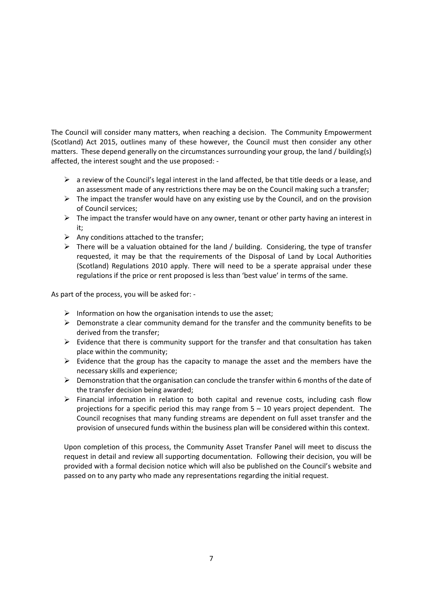The Council will consider many matters, when reaching a decision. The Community Empowerment (Scotland) Act 2015, outlines many of these however, the Council must then consider any other matters. These depend generally on the circumstances surrounding your group, the land / building(s) affected, the interest sought and the use proposed: -

- $\triangleright$  a review of the Council's legal interest in the land affected, be that title deeds or a lease, and an assessment made of any restrictions there may be on the Council making such a transfer;
- $\triangleright$  The impact the transfer would have on any existing use by the Council, and on the provision of Council services;
- $\triangleright$  The impact the transfer would have on any owner, tenant or other party having an interest in it;
- $\triangleright$  Any conditions attached to the transfer;
- $\triangleright$  There will be a valuation obtained for the land / building. Considering, the type of transfer requested, it may be that the requirements of the Disposal of Land by Local Authorities (Scotland) Regulations 2010 apply. There will need to be a sperate appraisal under these regulations if the price or rent proposed is less than 'best value' in terms of the same.

As part of the process, you will be asked for: -

- $\triangleright$  Information on how the organisation intends to use the asset;
- $\triangleright$  Demonstrate a clear community demand for the transfer and the community benefits to be derived from the transfer;
- $\triangleright$  Evidence that there is community support for the transfer and that consultation has taken place within the community;
- $\triangleright$  Evidence that the group has the capacity to manage the asset and the members have the necessary skills and experience;
- $\triangleright$  Demonstration that the organisation can conclude the transfer within 6 months of the date of the transfer decision being awarded;
- $\triangleright$  Financial information in relation to both capital and revenue costs, including cash flow projections for a specific period this may range from 5 – 10 years project dependent. The Council recognises that many funding streams are dependent on full asset transfer and the provision of unsecured funds within the business plan will be considered within this context.

Upon completion of this process, the Community Asset Transfer Panel will meet to discuss the request in detail and review all supporting documentation. Following their decision, you will be provided with a formal decision notice which will also be published on the Council's website and passed on to any party who made any representations regarding the initial request.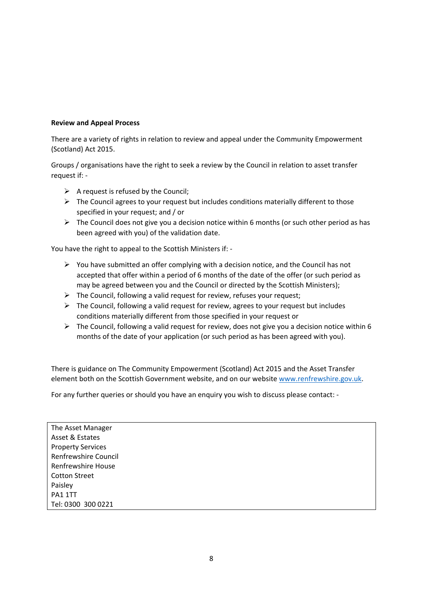## **Review and Appeal Process**

There are a variety of rights in relation to review and appeal under the Community Empowerment (Scotland) Act 2015.

Groups / organisations have the right to seek a review by the Council in relation to asset transfer request if: -

- $\triangleright$  A request is refused by the Council;
- $\triangleright$  The Council agrees to your request but includes conditions materially different to those specified in your request; and / or
- $\triangleright$  The Council does not give you a decision notice within 6 months (or such other period as has been agreed with you) of the validation date.

You have the right to appeal to the Scottish Ministers if: -

- $\triangleright$  You have submitted an offer complying with a decision notice, and the Council has not accepted that offer within a period of 6 months of the date of the offer (or such period as may be agreed between you and the Council or directed by the Scottish Ministers);
- $\triangleright$  The Council, following a valid request for review, refuses your request;
- $\triangleright$  The Council, following a valid request for review, agrees to your request but includes conditions materially different from those specified in your request or
- $\triangleright$  The Council, following a valid request for review, does not give you a decision notice within 6 months of the date of your application (or such period as has been agreed with you).

There is guidance on The Community Empowerment (Scotland) Act 2015 and the Asset Transfer element both on the Scottish Government website, and on our website www.renfrewshire.gov.uk.

For any further queries or should you have an enquiry you wish to discuss please contact: -

The Asset Manager Asset & Estates Property Services Renfrewshire Council Renfrewshire House Cotton Street Paisley PA1 1TT Tel: 0300 300 0221